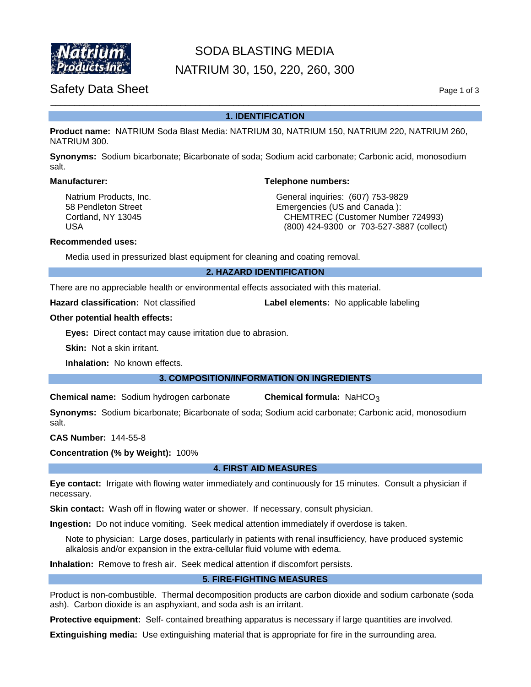

# SODA BLASTING MEDIA

NATRIUM 30, 150, 220, 260, 300

## Safety Data Sheet Page 1 of 3

### \_\_\_\_\_\_\_\_\_\_\_\_\_\_\_\_\_\_\_\_\_\_\_\_\_\_\_\_\_\_\_\_\_\_\_\_\_\_\_\_\_\_\_\_\_\_\_\_\_\_\_\_\_\_\_\_\_\_\_\_\_\_\_\_\_\_\_\_\_\_\_\_\_\_\_\_\_\_\_\_\_\_\_\_\_\_\_\_\_ **1. IDENTIFICATION**

**Product name:** NATRIUM Soda Blast Media: NATRIUM 30, NATRIUM 150, NATRIUM 220, NATRIUM 260, NATRIUM 300.

**Synonyms:** Sodium bicarbonate; Bicarbonate of soda; Sodium acid carbonate; Carbonic acid, monosodium salt.

#### **Manufacturer: Telephone numbers:**

Natrium Products, Inc. The Contract of General inquiries: (607) 753-9829 58 Pendleton Street **Emergencies (US and Canada ):** Emergencies (US and Canada ): Cortland, NY 13045 CHEMTREC (Customer Number 724993) USA (800) 424-9300 or 703-527-3887 (collect)

#### **Recommended uses:**

Media used in pressurized blast equipment for cleaning and coating removal.

**2. HAZARD IDENTIFICATION**

There are no appreciable health or environmental effects associated with this material.

**Hazard classification:** Not classified **Label elements:** No applicable labeling

#### **Other potential health effects:**

**Eyes:** Direct contact may cause irritation due to abrasion.

**Skin:** Not a skin irritant.

**Inhalation:** No known effects.

#### **3. COMPOSITION/INFORMATION ON INGREDIENTS**

**Chemical name:** Sodium hydrogen carbonate **Chemical formula:** NaHCO3

**Synonyms:** Sodium bicarbonate; Bicarbonate of soda; Sodium acid carbonate; Carbonic acid, monosodium salt.

**CAS Number:** 144-55-8

**Concentration (% by Weight):** 100%

#### **4. FIRST AID MEASURES**

**Eye contact:** Irrigate with flowing water immediately and continuously for 15 minutes. Consult a physician if necessary.

**Skin contact:** Wash off in flowing water or shower. If necessary, consult physician.

**Ingestion:** Do not induce vomiting. Seek medical attention immediately if overdose is taken.

Note to physician: Large doses, particularly in patients with renal insufficiency, have produced systemic alkalosis and/or expansion in the extra-cellular fluid volume with edema.

**Inhalation:** Remove to fresh air. Seek medical attention if discomfort persists.

#### **5. FIRE-FIGHTING MEASURES**

Product is non-combustible. Thermal decomposition products are carbon dioxide and sodium carbonate (soda ash). Carbon dioxide is an asphyxiant, and soda ash is an irritant.

**Protective equipment:** Self- contained breathing apparatus is necessary if large quantities are involved.

**Extinguishing media:** Use extinguishing material that is appropriate for fire in the surrounding area.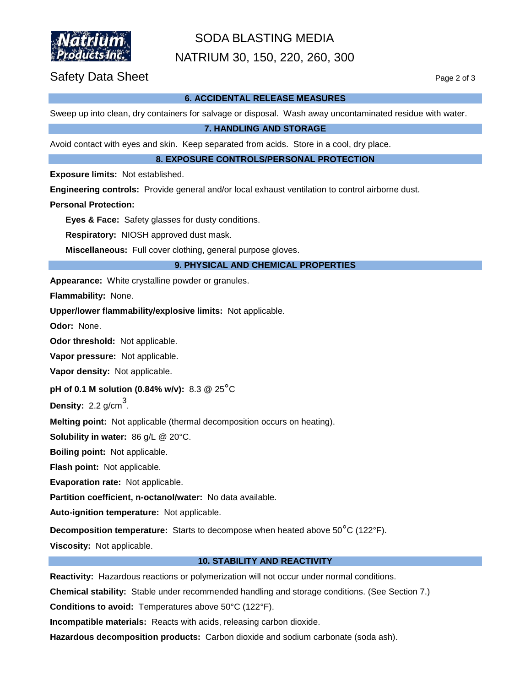

# SODA BLASTING MEDIA NATRIUM 30, 150, 220, 260, 300

### Safety Data Sheet Page 2 of 3

#### **6. ACCIDENTAL RELEASE MEASURES**

Sweep up into clean, dry containers for salvage or disposal. Wash away uncontaminated residue with water.

**7. HANDLING AND STORAGE**

Avoid contact with eyes and skin. Keep separated from acids. Store in a cool, dry place.

**8. EXPOSURE CONTROLS/PERSONAL PROTECTION**

**Exposure limits:** Not established.

**Engineering controls:** Provide general and/or local exhaust ventilation to control airborne dust.

#### **Personal Protection:**

**Eyes & Face:** Safety glasses for dusty conditions.

**Respiratory:** NIOSH approved dust mask.

**Miscellaneous:** Full cover clothing, general purpose gloves.

#### **9. PHYSICAL AND CHEMICAL PROPERTIES**

**Appearance:** White crystalline powder or granules.

**Flammability:** None.

**Upper/lower flammability/explosive limits:** Not applicable.

**Odor:** None.

**Odor threshold:** Not applicable.

**Vapor pressure:** Not applicable.

**Vapor density:** Not applicable.

**pH of 0.1 M solution (0.84% w/v):** 8.3 @ 25°C

**Density:**  $2.2$  g/cm<sup>3</sup>.

**Melting point:** Not applicable (thermal decomposition occurs on heating).

**Solubility in water:** 86 g/L @ 20°C.

**Boiling point:** Not applicable.

**Flash point:** Not applicable.

**Evaporation rate:** Not applicable.

**Partition coefficient, n-octanol/water:** No data available.

**Auto-ignition temperature:** Not applicable.

**Decomposition temperature:** Starts to decompose when heated above 50°C (122°F).

**Viscosity:** Not applicable.

#### **10. STABILITY AND REACTIVITY**

**Reactivity:** Hazardous reactions or polymerization will not occur under normal conditions.

**Chemical stability:** Stable under recommended handling and storage conditions. (See Section 7.)

**Conditions to avoid:** Temperatures above 50°C (122°F).

**Incompatible materials:** Reacts with acids, releasing carbon dioxide.

**Hazardous decomposition products:** Carbon dioxide and sodium carbonate (soda ash).